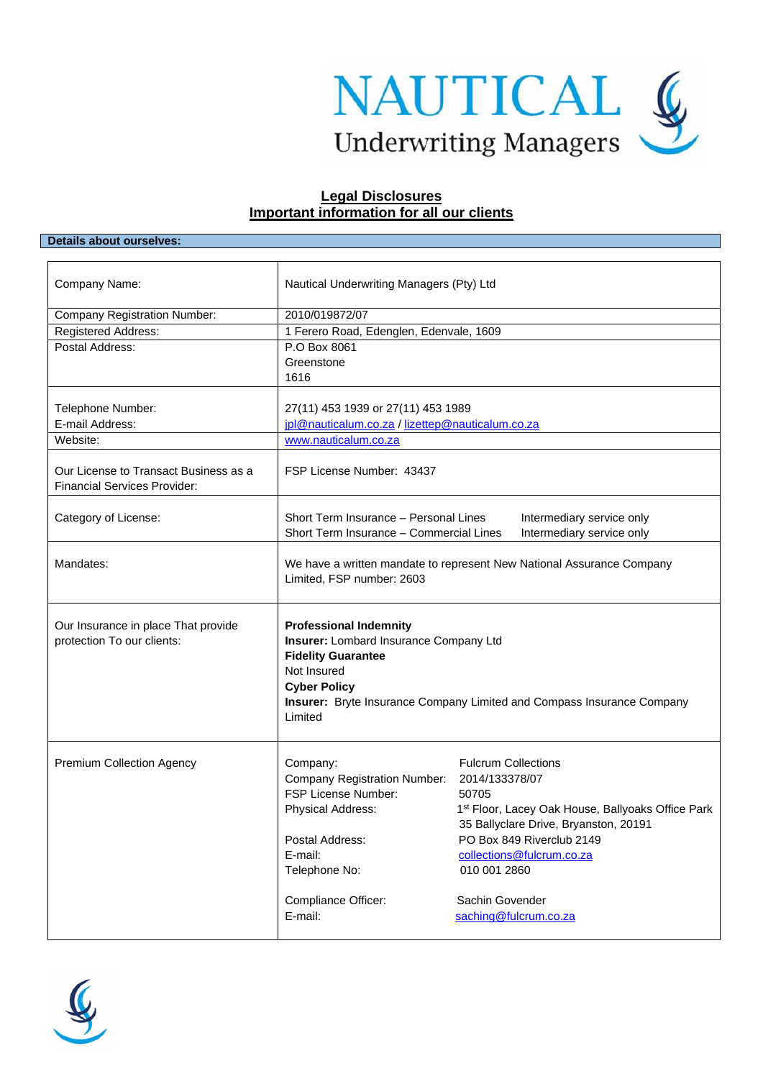

# **Legal Disclosures Important information for all our clients**

### **Details about ourselves:**

| Company Name:                                                     | Nautical Underwriting Managers (Pty) Ltd                                                                                                                                                                                               |                                                                                                                                                                                                                                                                           |
|-------------------------------------------------------------------|----------------------------------------------------------------------------------------------------------------------------------------------------------------------------------------------------------------------------------------|---------------------------------------------------------------------------------------------------------------------------------------------------------------------------------------------------------------------------------------------------------------------------|
| <b>Company Registration Number:</b>                               | 2010/019872/07                                                                                                                                                                                                                         |                                                                                                                                                                                                                                                                           |
| Registered Address:                                               | 1 Ferero Road, Edenglen, Edenvale, 1609                                                                                                                                                                                                |                                                                                                                                                                                                                                                                           |
| Postal Address:                                                   | P.O Box 8061                                                                                                                                                                                                                           |                                                                                                                                                                                                                                                                           |
|                                                                   | Greenstone                                                                                                                                                                                                                             |                                                                                                                                                                                                                                                                           |
|                                                                   | 1616                                                                                                                                                                                                                                   |                                                                                                                                                                                                                                                                           |
|                                                                   |                                                                                                                                                                                                                                        |                                                                                                                                                                                                                                                                           |
| Telephone Number:<br>E-mail Address:                              | 27(11) 453 1939 or 27(11) 453 1989<br>jpl@nauticalum.co.za / lizettep@nauticalum.co.za                                                                                                                                                 |                                                                                                                                                                                                                                                                           |
| Website:                                                          | www.nauticalum.co.za                                                                                                                                                                                                                   |                                                                                                                                                                                                                                                                           |
|                                                                   |                                                                                                                                                                                                                                        |                                                                                                                                                                                                                                                                           |
| Our License to Transact Business as a                             | FSP License Number: 43437                                                                                                                                                                                                              |                                                                                                                                                                                                                                                                           |
| <b>Financial Services Provider:</b>                               |                                                                                                                                                                                                                                        |                                                                                                                                                                                                                                                                           |
|                                                                   |                                                                                                                                                                                                                                        |                                                                                                                                                                                                                                                                           |
| Category of License:                                              | Short Term Insurance - Personal Lines<br>Intermediary service only<br>Short Term Insurance - Commercial Lines<br>Intermediary service only                                                                                             |                                                                                                                                                                                                                                                                           |
|                                                                   |                                                                                                                                                                                                                                        |                                                                                                                                                                                                                                                                           |
| Mandates:                                                         | We have a written mandate to represent New National Assurance Company<br>Limited, FSP number: 2603                                                                                                                                     |                                                                                                                                                                                                                                                                           |
| Our Insurance in place That provide<br>protection To our clients: | <b>Professional Indemnity</b><br>Insurer: Lombard Insurance Company Ltd<br><b>Fidelity Guarantee</b><br>Not Insured<br><b>Cyber Policy</b><br><b>Insurer:</b> Bryte Insurance Company Limited and Compass Insurance Company<br>Limited |                                                                                                                                                                                                                                                                           |
| <b>Premium Collection Agency</b>                                  | Company:<br><b>Company Registration Number:</b><br>FSP License Number:<br>Physical Address:<br>Postal Address:<br>E-mail:<br>Telephone No:<br>Compliance Officer:<br>E-mail:                                                           | <b>Fulcrum Collections</b><br>2014/133378/07<br>50705<br>1st Floor, Lacey Oak House, Ballyoaks Office Park<br>35 Ballyclare Drive, Bryanston, 20191<br>PO Box 849 Riverclub 2149<br>collections@fulcrum.co.za<br>010 001 2860<br>Sachin Govender<br>saching@fulcrum.co.za |

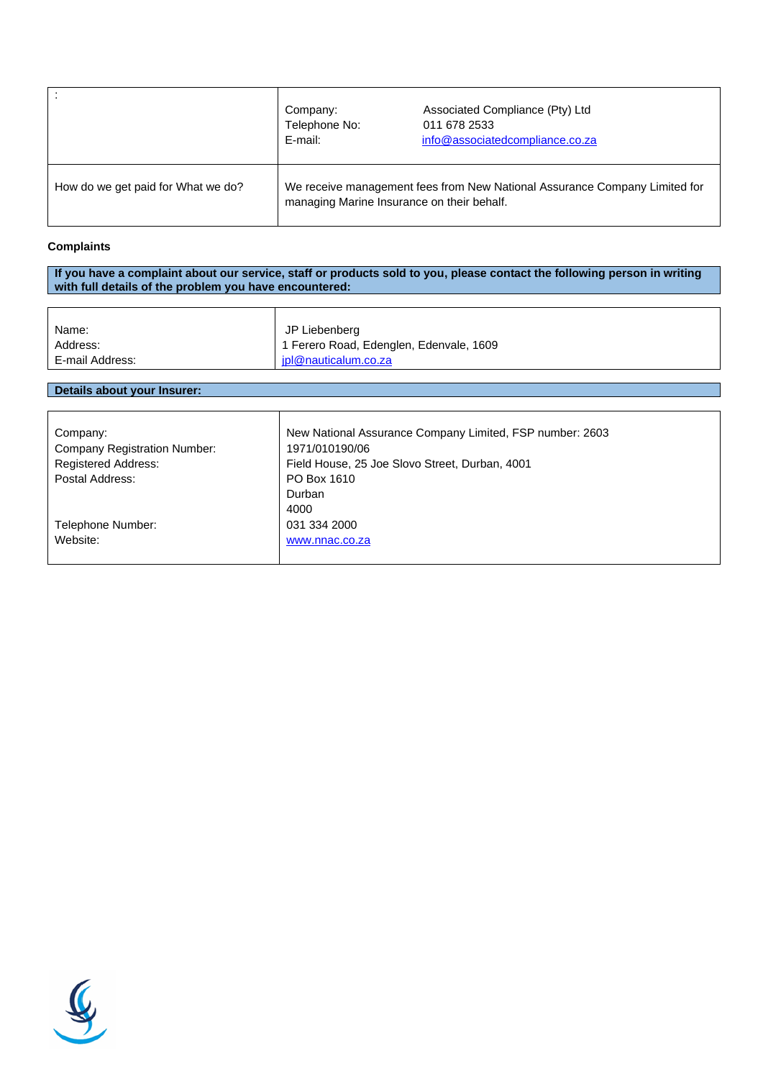|                                    | Company:<br>Telephone No:<br>E-mail:                                                                                     | Associated Compliance (Pty) Ltd<br>011 678 2533<br>info@associatedcompliance.co.za |
|------------------------------------|--------------------------------------------------------------------------------------------------------------------------|------------------------------------------------------------------------------------|
| How do we get paid for What we do? | We receive management fees from New National Assurance Company Limited for<br>managing Marine Insurance on their behalf. |                                                                                    |

## **Complaints**

**If you have a complaint about our service, staff or products sold to you, please contact the following person in writing with full details of the problem you have encountered:**

| Name:           | JP Liebenberg                           |
|-----------------|-----------------------------------------|
| Address:        | 1 Ferero Road, Edenglen, Edenvale, 1609 |
| E-mail Address: | ipl@nauticalum.co.za                    |

# **Details about your Insurer:**

| Company:                            | New National Assurance Company Limited, FSP number: 2603 |
|-------------------------------------|----------------------------------------------------------|
| <b>Company Registration Number:</b> | 1971/010190/06                                           |
| <b>Registered Address:</b>          | Field House, 25 Joe Slovo Street, Durban, 4001           |
| Postal Address:                     | PO Box 1610                                              |
|                                     | Durban                                                   |
|                                     | 4000                                                     |
| Telephone Number:                   | 031 334 2000                                             |
| Website:                            | www.nnac.co.za                                           |
|                                     |                                                          |

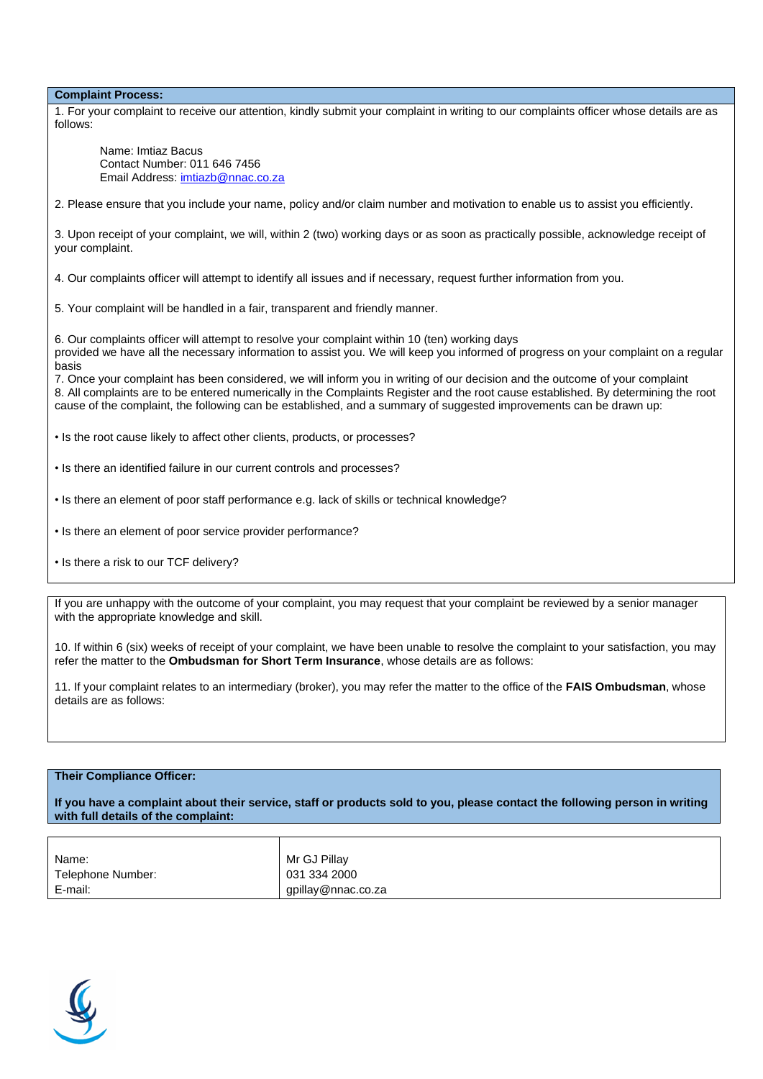**Complaint Process:**

| 1. For your complaint to receive our attention, kindly submit your complaint in writing to our complaints officer whose details are as |  |
|----------------------------------------------------------------------------------------------------------------------------------------|--|
| follows:                                                                                                                               |  |

 Name: Imtiaz Bacus Contact Number: 011 646 7456 Email Address: [imtiazb@nnac.co.za](mailto:imtiazb@nnac.co.za)

2. Please ensure that you include your name, policy and/or claim number and motivation to enable us to assist you efficiently.

3. Upon receipt of your complaint, we will, within 2 (two) working days or as soon as practically possible, acknowledge receipt of your complaint.

4. Our complaints officer will attempt to identify all issues and if necessary, request further information from you.

5. Your complaint will be handled in a fair, transparent and friendly manner.

6. Our complaints officer will attempt to resolve your complaint within 10 (ten) working days provided we have all the necessary information to assist you. We will keep you informed of progress on your complaint on a regular basis

7. Once your complaint has been considered, we will inform you in writing of our decision and the outcome of your complaint 8. All complaints are to be entered numerically in the Complaints Register and the root cause established. By determining the root cause of the complaint, the following can be established, and a summary of suggested improvements can be drawn up:

• Is the root cause likely to affect other clients, products, or processes?

- Is there an identified failure in our current controls and processes?
- Is there an element of poor staff performance e.g. lack of skills or technical knowledge?
- Is there an element of poor service provider performance?
- Is there a risk to our TCF delivery?

If you are unhappy with the outcome of your complaint, you may request that your complaint be reviewed by a senior manager with the appropriate knowledge and skill.

10. If within 6 (six) weeks of receipt of your complaint, we have been unable to resolve the complaint to your satisfaction, you may refer the matter to the **Ombudsman for Short Term Insurance**, whose details are as follows:

11. If your complaint relates to an intermediary (broker), you may refer the matter to the office of the **FAIS Ombudsman**, whose details are as follows:

#### **Their Compliance Officer:**

**If you have a complaint about their service, staff or products sold to you, please contact the following person in writing with full details of the complaint:**

| Name:             | Mr GJ Pillay       |
|-------------------|--------------------|
| Telephone Number: | 031 334 2000       |
| E-mail:           | gpillay@nnac.co.za |

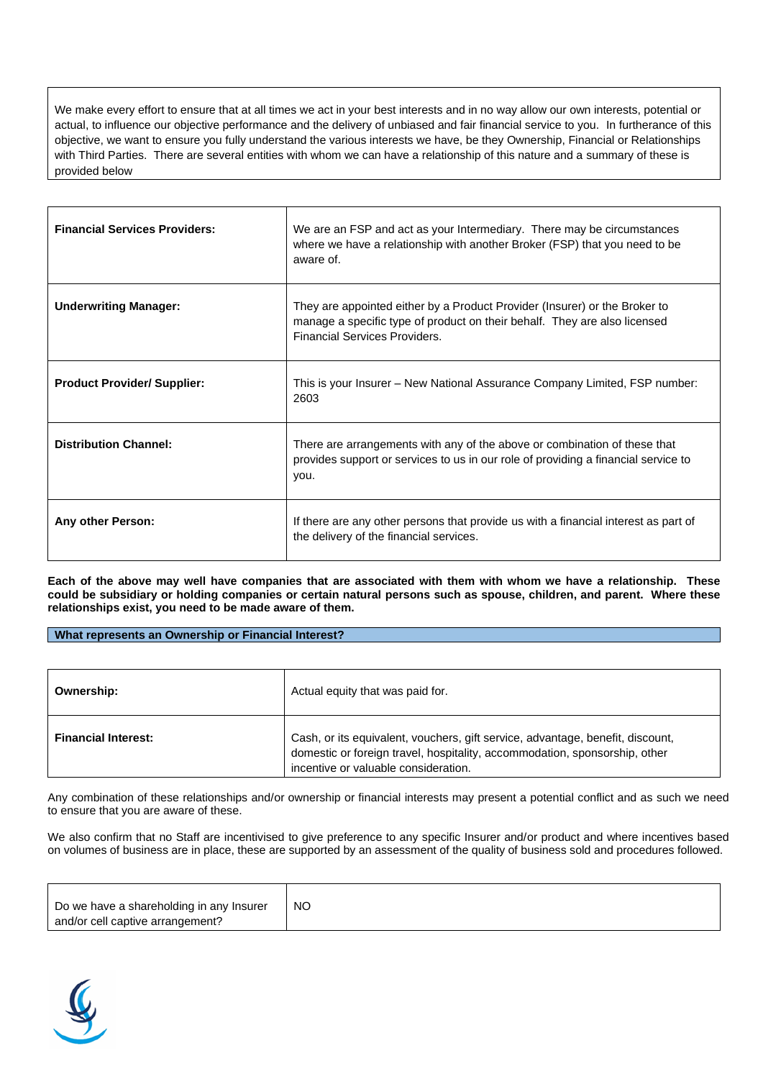We make every effort to ensure that at all times we act in your best interests and in no way allow our own interests, potential or actual, to influence our objective performance and the delivery of unbiased and fair financial service to you. In furtherance of this objective, we want to ensure you fully understand the various interests we have, be they Ownership, Financial or Relationships with Third Parties. There are several entities with whom we can have a relationship of this nature and a summary of these is provided below

| <b>Financial Services Providers:</b> | We are an FSP and act as your Intermediary. There may be circumstances<br>where we have a relationship with another Broker (FSP) that you need to be<br>aware of                         |
|--------------------------------------|------------------------------------------------------------------------------------------------------------------------------------------------------------------------------------------|
| <b>Underwriting Manager:</b>         | They are appointed either by a Product Provider (Insurer) or the Broker to<br>manage a specific type of product on their behalf. They are also licensed<br>Financial Services Providers. |
| <b>Product Provider/ Supplier:</b>   | This is your Insurer – New National Assurance Company Limited, FSP number:<br>2603                                                                                                       |
| <b>Distribution Channel:</b>         | There are arrangements with any of the above or combination of these that<br>provides support or services to us in our role of providing a financial service to<br>you.                  |
| Any other Person:                    | If there are any other persons that provide us with a financial interest as part of<br>the delivery of the financial services.                                                           |

**Each of the above may well have companies that are associated with them with whom we have a relationship. These could be subsidiary or holding companies or certain natural persons such as spouse, children, and parent. Where these relationships exist, you need to be made aware of them.**

**What represents an Ownership or Financial Interest?**

| Ownership:                 | Actual equity that was paid for.                                                                                                                                                                     |
|----------------------------|------------------------------------------------------------------------------------------------------------------------------------------------------------------------------------------------------|
| <b>Financial Interest:</b> | Cash, or its equivalent, vouchers, gift service, advantage, benefit, discount,<br>domestic or foreign travel, hospitality, accommodation, sponsorship, other<br>incentive or valuable consideration. |

Any combination of these relationships and/or ownership or financial interests may present a potential conflict and as such we need to ensure that you are aware of these.

We also confirm that no Staff are incentivised to give preference to any specific Insurer and/or product and where incentives based on volumes of business are in place, these are supported by an assessment of the quality of business sold and procedures followed.

| NO<br>Do we have a shareholding in any Insurer<br>and/or cell captive arrangement? |
|------------------------------------------------------------------------------------|
|------------------------------------------------------------------------------------|

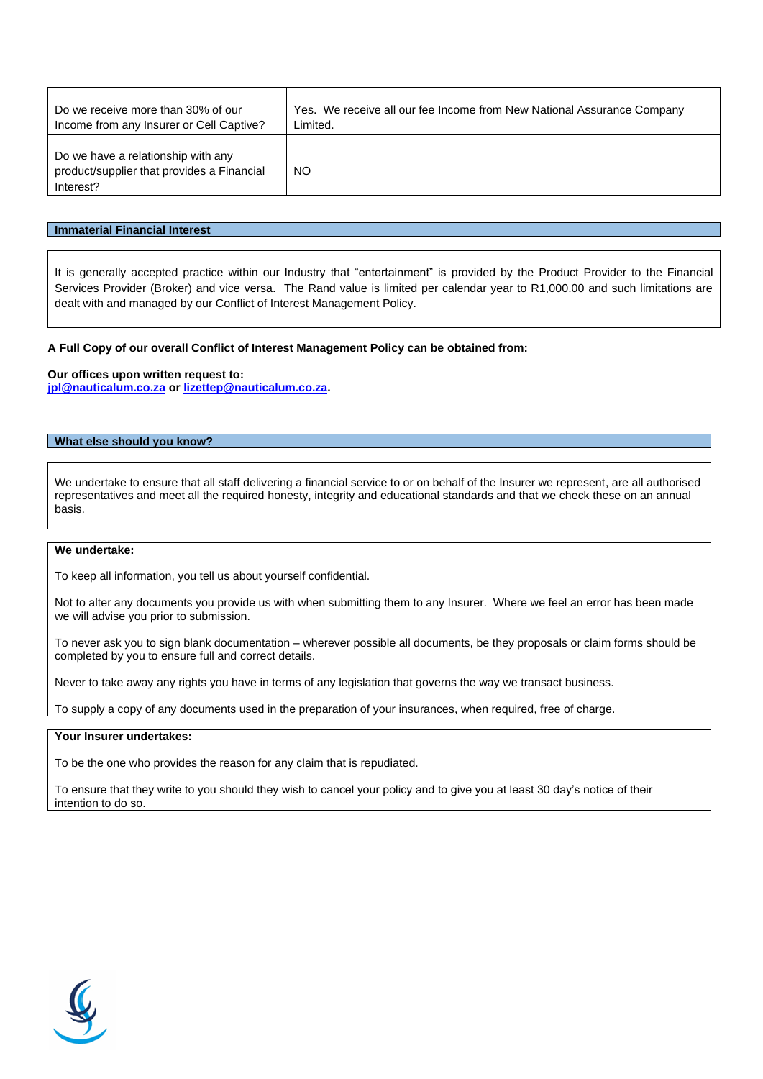| Do we receive more than 30% of our                                                            | Yes. We receive all our fee Income from New National Assurance Company |
|-----------------------------------------------------------------------------------------------|------------------------------------------------------------------------|
| Income from any Insurer or Cell Captive?                                                      | Limited.                                                               |
| Do we have a relationship with any<br>product/supplier that provides a Financial<br>Interest? | NO.                                                                    |

### **Immaterial Financial Interest**

It is generally accepted practice within our Industry that "entertainment" is provided by the Product Provider to the Financial Services Provider (Broker) and vice versa. The Rand value is limited per calendar year to R1,000.00 and such limitations are dealt with and managed by our Conflict of Interest Management Policy.

#### **A Full Copy of our overall Conflict of Interest Management Policy can be obtained from:**

#### **Our offices upon written request to:**

**[jpl@nauticalum.co.za](mailto:jpl@nauticalum.co.za) or [lizettep@nauticalum.co.za.](mailto:lizettep@nauticalum.co.za)**

## **What else should you know?**

We undertake to ensure that all staff delivering a financial service to or on behalf of the Insurer we represent, are all authorised representatives and meet all the required honesty, integrity and educational standards and that we check these on an annual basis.

### **We undertake:**

To keep all information, you tell us about yourself confidential.

Not to alter any documents you provide us with when submitting them to any Insurer. Where we feel an error has been made we will advise you prior to submission.

To never ask you to sign blank documentation – wherever possible all documents, be they proposals or claim forms should be completed by you to ensure full and correct details.

Never to take away any rights you have in terms of any legislation that governs the way we transact business.

To supply a copy of any documents used in the preparation of your insurances, when required, free of charge.

#### **Your Insurer undertakes:**

To be the one who provides the reason for any claim that is repudiated.

To ensure that they write to you should they wish to cancel your policy and to give you at least 30 day's notice of their intention to do so.